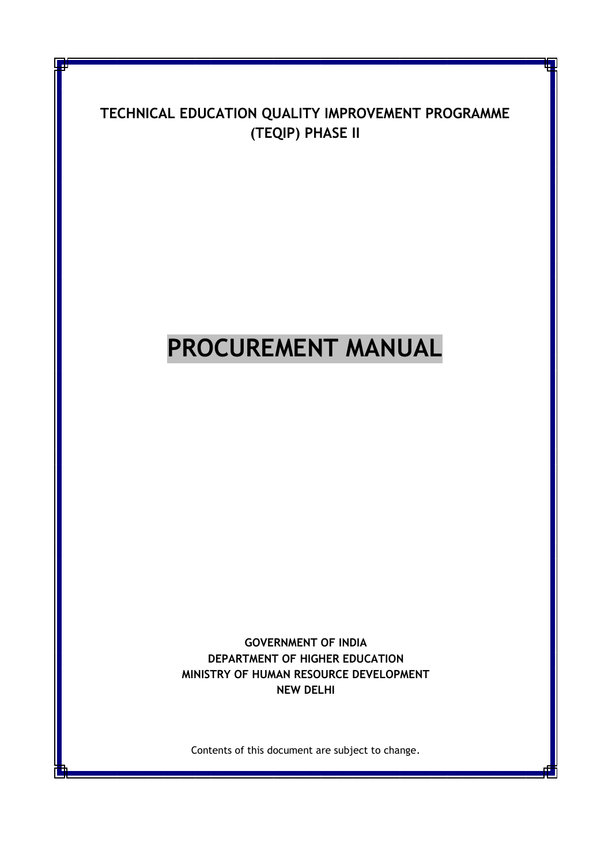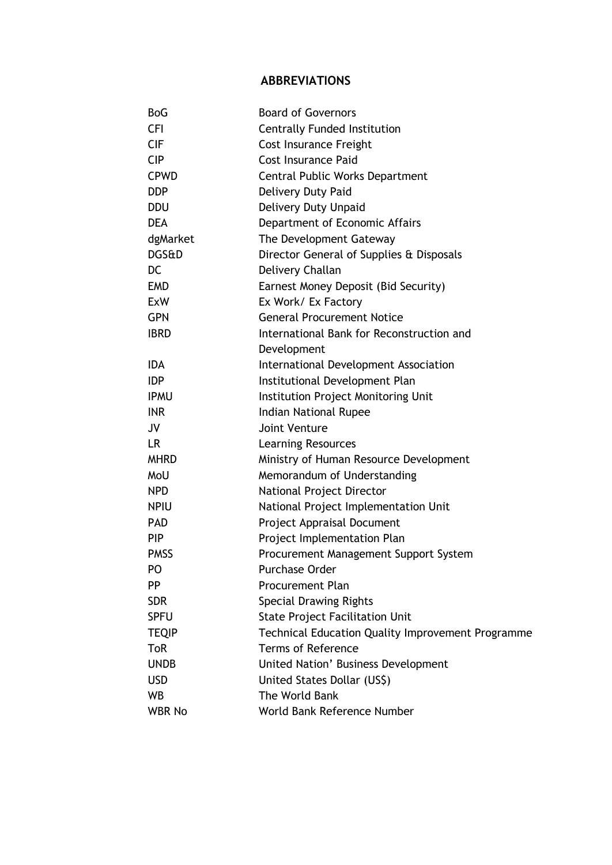## **ABBREVIATIONS**

| <b>BoG</b>       | <b>Board of Governors</b>                                |
|------------------|----------------------------------------------------------|
| <b>CFI</b>       | <b>Centrally Funded Institution</b>                      |
| <b>CIF</b>       | Cost Insurance Freight                                   |
| <b>CIP</b>       | <b>Cost Insurance Paid</b>                               |
| <b>CPWD</b>      | Central Public Works Department                          |
| <b>DDP</b>       | Delivery Duty Paid                                       |
| <b>DDU</b>       | Delivery Duty Unpaid                                     |
| <b>DEA</b>       | Department of Economic Affairs                           |
| dgMarket         | The Development Gateway                                  |
| <b>DGS&amp;D</b> | Director General of Supplies & Disposals                 |
| DC               | Delivery Challan                                         |
| <b>EMD</b>       | Earnest Money Deposit (Bid Security)                     |
| <b>ExW</b>       | Ex Work/ Ex Factory                                      |
| <b>GPN</b>       | <b>General Procurement Notice</b>                        |
| <b>IBRD</b>      | International Bank for Reconstruction and                |
|                  | Development                                              |
| <b>IDA</b>       | International Development Association                    |
| <b>IDP</b>       | Institutional Development Plan                           |
| <b>IPMU</b>      | Institution Project Monitoring Unit                      |
| <b>INR</b>       | Indian National Rupee                                    |
| <b>JV</b>        | <b>Joint Venture</b>                                     |
| LR.              | <b>Learning Resources</b>                                |
| <b>MHRD</b>      | Ministry of Human Resource Development                   |
| MoU              | Memorandum of Understanding                              |
| <b>NPD</b>       | National Project Director                                |
| <b>NPIU</b>      | National Project Implementation Unit                     |
| <b>PAD</b>       | Project Appraisal Document                               |
| <b>PIP</b>       | Project Implementation Plan                              |
| <b>PMSS</b>      | Procurement Management Support System                    |
| PO               | Purchase Order                                           |
| <b>PP</b>        | <b>Procurement Plan</b>                                  |
| <b>SDR</b>       | <b>Special Drawing Rights</b>                            |
| <b>SPFU</b>      | <b>State Project Facilitation Unit</b>                   |
| <b>TEQIP</b>     | <b>Technical Education Quality Improvement Programme</b> |
| <b>ToR</b>       | <b>Terms of Reference</b>                                |
| <b>UNDB</b>      | <b>United Nation' Business Development</b>               |
| <b>USD</b>       | United States Dollar (US\$)                              |
| WB               | The World Bank                                           |
| <b>WBR No</b>    | World Bank Reference Number                              |
|                  |                                                          |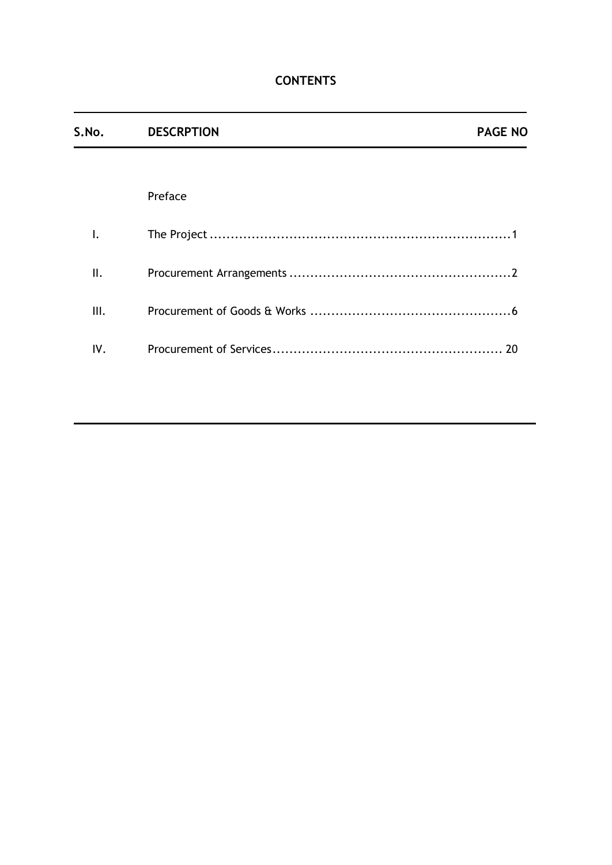| S.No. | <b>DESCRPTION</b> | <b>PAGE NO</b> |
|-------|-------------------|----------------|
|       |                   |                |
|       | Preface           |                |
| I.    |                   |                |
| II.   |                   |                |
| III.  |                   |                |
| IV.   |                   |                |
|       |                   |                |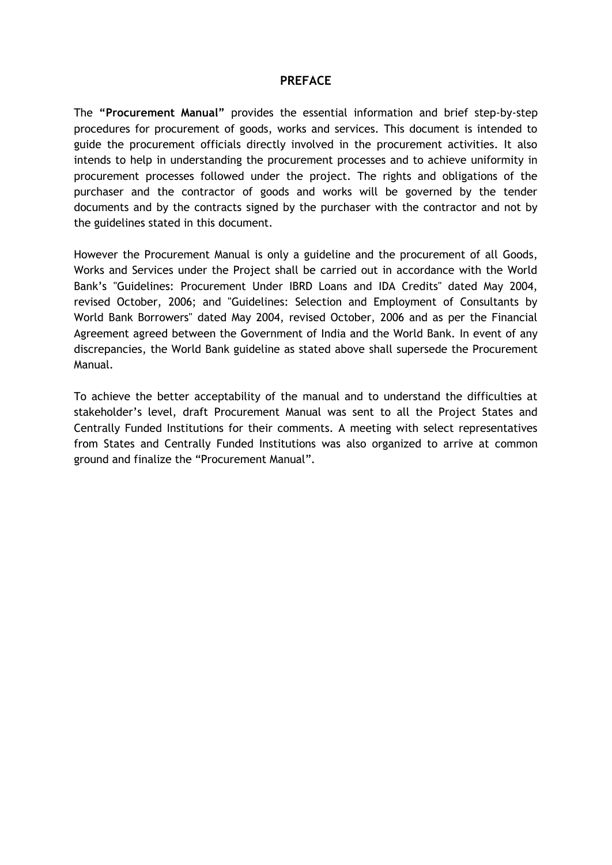#### **PREFACE**

The **"Procurement Manual"** provides the essential information and brief step-by-step procedures for procurement of goods, works and services. This document is intended to guide the procurement officials directly involved in the procurement activities. It also intends to help in understanding the procurement processes and to achieve uniformity in procurement processes followed under the project. The rights and obligations of the purchaser and the contractor of goods and works will be governed by the tender documents and by the contracts signed by the purchaser with the contractor and not by the guidelines stated in this document.

However the Procurement Manual is only a guideline and the procurement of all Goods, Works and Services under the Project shall be carried out in accordance with the World Bank's "Guidelines: Procurement Under IBRD Loans and IDA Credits" dated May 2004, revised October, 2006; and "Guidelines: Selection and Employment of Consultants by World Bank Borrowers" dated May 2004, revised October, 2006 and as per the Financial Agreement agreed between the Government of India and the World Bank. In event of any discrepancies, the World Bank guideline as stated above shall supersede the Procurement Manual.

To achieve the better acceptability of the manual and to understand the difficulties at stakeholder's level, draft Procurement Manual was sent to all the Project States and Centrally Funded Institutions for their comments. A meeting with select representatives from States and Centrally Funded Institutions was also organized to arrive at common ground and finalize the "Procurement Manual".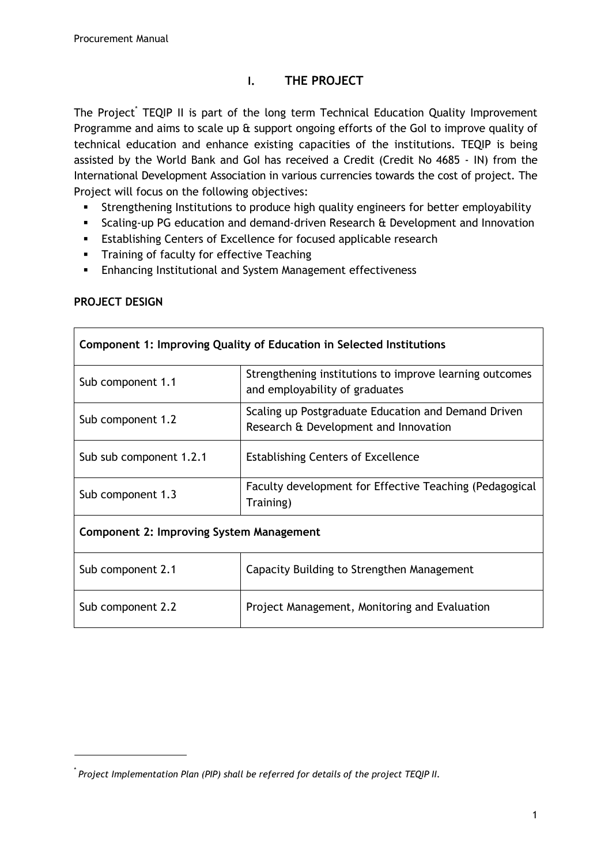## **I. THE PROJECT**

The Project<sup>\*</sup> TEQIP II is part of the long term Technical Education Quality Improvement Programme and aims to scale up & support ongoing efforts of the GoI to improve quality of technical education and enhance existing capacities of the institutions. TEQIP is being assisted by the World Bank and GoI has received a Credit (Credit No 4685 - IN) from the International Development Association in various currencies towards the cost of project. The Project will focus on the following objectives:

- Strengthening Institutions to produce high quality engineers for better employability
- Scaling-up PG education and demand-driven Research & Development and Innovation
- **Establishing Centers of Excellence for focused applicable research**
- **Training of faculty for effective Teaching**
- **Enhancing Institutional and System Management effectiveness**

| Component 1: Improving Quality of Education in Selected Institutions |                                                                                              |  |
|----------------------------------------------------------------------|----------------------------------------------------------------------------------------------|--|
| Sub component 1.1                                                    | Strengthening institutions to improve learning outcomes<br>and employability of graduates    |  |
| Sub component 1.2                                                    | Scaling up Postgraduate Education and Demand Driven<br>Research & Development and Innovation |  |
| Sub sub component 1.2.1                                              | <b>Establishing Centers of Excellence</b>                                                    |  |
| Sub component 1.3                                                    | Faculty development for Effective Teaching (Pedagogical<br>Training)                         |  |
| Component 2: Improving System Management                             |                                                                                              |  |
| Sub component 2.1                                                    | Capacity Building to Strengthen Management                                                   |  |
| Sub component 2.2                                                    | Project Management, Monitoring and Evaluation                                                |  |

#### **PROJECT DESIGN**

<sup>\*</sup> *Project Implementation Plan (PIP) shall be referred for details of the project TEQIP II.*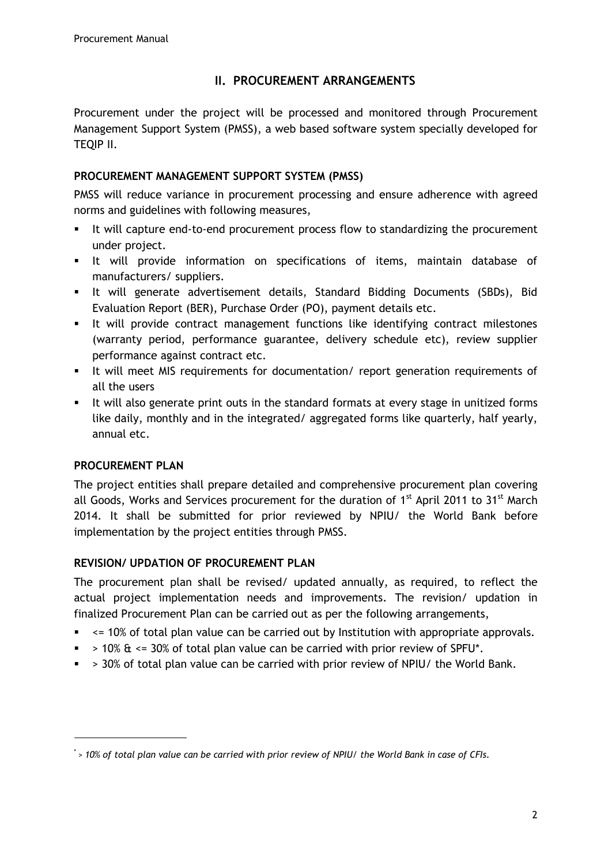## **II. PROCUREMENT ARRANGEMENTS**

Procurement under the project will be processed and monitored through Procurement Management Support System (PMSS), a web based software system specially developed for TEQIP II.

## **PROCUREMENT MANAGEMENT SUPPORT SYSTEM (PMSS)**

PMSS will reduce variance in procurement processing and ensure adherence with agreed norms and guidelines with following measures,

- It will capture end-to-end procurement process flow to standardizing the procurement under project.
- It will provide information on specifications of items, maintain database of manufacturers/ suppliers.
- It will generate advertisement details, Standard Bidding Documents (SBDs), Bid Evaluation Report (BER), Purchase Order (PO), payment details etc.
- It will provide contract management functions like identifying contract milestones (warranty period, performance guarantee, delivery schedule etc), review supplier performance against contract etc.
- It will meet MIS requirements for documentation/ report generation requirements of all the users
- It will also generate print outs in the standard formats at every stage in unitized forms like daily, monthly and in the integrated/ aggregated forms like quarterly, half yearly, annual etc.

### **PROCUREMENT PLAN**

The project entities shall prepare detailed and comprehensive procurement plan covering all Goods, Works and Services procurement for the duration of  $1<sup>st</sup>$  April 2011 to 31<sup>st</sup> March 2014. It shall be submitted for prior reviewed by NPIU/ the World Bank before implementation by the project entities through PMSS.

### **REVISION/ UPDATION OF PROCUREMENT PLAN**

The procurement plan shall be revised/ updated annually, as required, to reflect the actual project implementation needs and improvements. The revision/ updation in finalized Procurement Plan can be carried out as per the following arrangements,

- $\sim$  <= 10% of total plan value can be carried out by Institution with appropriate approvals.
- $\approx$  > 10%  $\text{ft}$  <= 30% of total plan value can be carried with prior review of SPFU\*.
- $\sim$  > 30% of total plan value can be carried with prior review of NPIU/ the World Bank.

<sup>\*</sup> *> 10% of total plan value can be carried with prior review of NPIU/ the World Bank in case of CFIs.*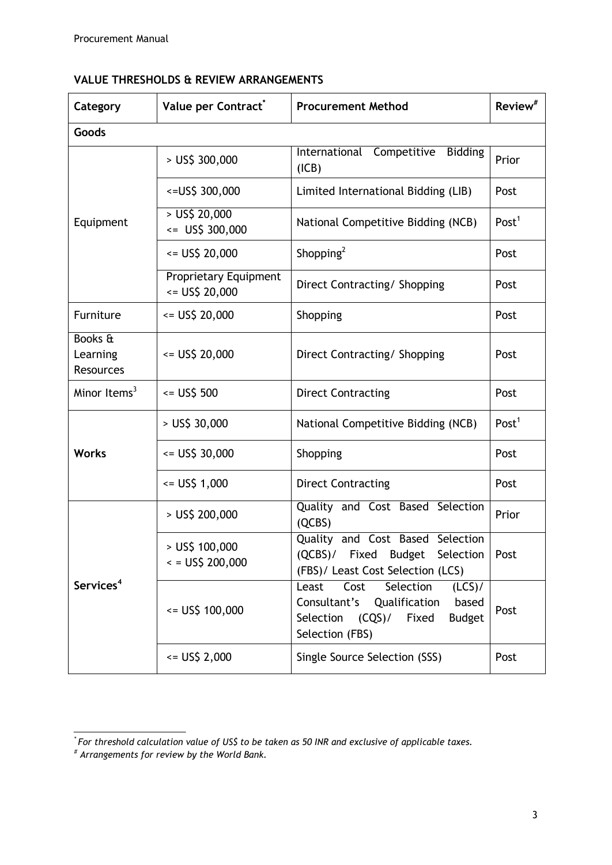# **VALUE THRESHOLDS & REVIEW ARRANGEMENTS**

| Category                                | Value per Contract <sup>®</sup>         | <b>Procurement Method</b>                                                                                                                            | Review <sup>#</sup> |
|-----------------------------------------|-----------------------------------------|------------------------------------------------------------------------------------------------------------------------------------------------------|---------------------|
| Goods                                   |                                         |                                                                                                                                                      |                     |
| Equipment                               | $>$ US\$ 300,000                        | International Competitive<br><b>Bidding</b><br>(ICB)                                                                                                 | Prior               |
|                                         | <= US\$ 300,000                         | Limited International Bidding (LIB)                                                                                                                  | Post                |
|                                         | $>$ US\$ 20,000<br>$\le$ US\$ 300,000   | National Competitive Bidding (NCB)                                                                                                                   | Post <sup>1</sup>   |
|                                         | $=$ US\$ 20,000                         | Shopping <sup>2</sup>                                                                                                                                | Post                |
|                                         | Proprietary Equipment<br><= US\$ 20,000 | Direct Contracting/ Shopping                                                                                                                         | Post                |
| Furniture                               | $=$ US\$ 20,000                         | Shopping                                                                                                                                             | Post                |
| Books &<br>Learning<br><b>Resources</b> | $=$ US\$ 20,000                         | Direct Contracting/ Shopping                                                                                                                         | Post                |
| Minor Items $3$                         | $= US$500$                              | <b>Direct Contracting</b>                                                                                                                            | Post                |
|                                         | $>$ US\$ 30,000                         | National Competitive Bidding (NCB)                                                                                                                   | Post <sup>1</sup>   |
| <b>Works</b>                            | $\le$ US\$ 30,000                       | Shopping                                                                                                                                             | Post                |
|                                         | $= US$1,000$                            | <b>Direct Contracting</b>                                                                                                                            | Post                |
| Services <sup>4</sup>                   | $>$ US\$ 200,000                        | Quality and Cost Based Selection<br>(QCBS)                                                                                                           | Prior               |
|                                         | $>$ US\$ 100,000<br>$= US$200,000$      | Quality and Cost Based Selection<br>(QCBS)/ Fixed Budget Selection<br>(FBS)/ Least Cost Selection (LCS)                                              | Post                |
|                                         | $= US$100,000$                          | Selection<br>Cost<br>Least<br>$(LCS)$ /<br>Consultant's<br>Qualification<br>based<br>Selection<br><b>Budget</b><br>(CQS)<br>Fixed<br>Selection (FBS) | Post                |
|                                         | $=$ US\$ 2,000                          | Single Source Selection (SSS)                                                                                                                        | Post                |

*<sup>\*</sup> For threshold calculation value of US\$ to be taken as 50 INR and exclusive of applicable taxes.*

*<sup>#</sup> Arrangements for review by the World Bank.*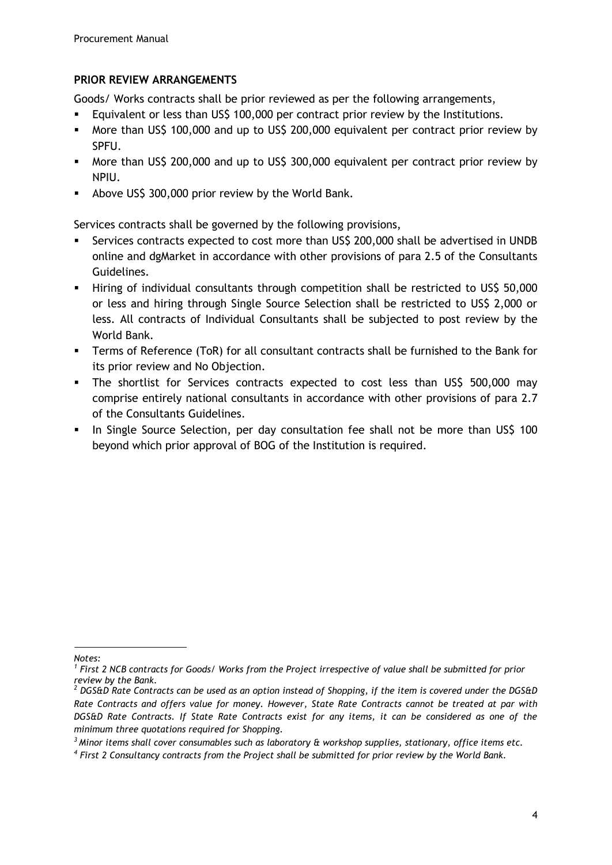## **PRIOR REVIEW ARRANGEMENTS**

Goods/ Works contracts shall be prior reviewed as per the following arrangements,

- Equivalent or less than US\$ 100,000 per contract prior review by the Institutions.
- More than US\$ 100,000 and up to US\$ 200,000 equivalent per contract prior review by SPFU.
- More than US\$ 200,000 and up to US\$ 300,000 equivalent per contract prior review by NPIU.
- Above US\$ 300,000 prior review by the World Bank.

Services contracts shall be governed by the following provisions,

- Services contracts expected to cost more than US\$ 200,000 shall be advertised in UNDB online and dgMarket in accordance with other provisions of para 2.5 of the Consultants Guidelines.
- Hiring of individual consultants through competition shall be restricted to US\$ 50,000 or less and hiring through Single Source Selection shall be restricted to US\$ 2,000 or less. All contracts of Individual Consultants shall be subjected to post review by the World Bank.
- Terms of Reference (ToR) for all consultant contracts shall be furnished to the Bank for its prior review and No Objection.
- The shortlist for Services contracts expected to cost less than US\$ 500,000 may comprise entirely national consultants in accordance with other provisions of para 2.7 of the Consultants Guidelines.
- In Single Source Selection, per day consultation fee shall not be more than US\$ 100 beyond which prior approval of BOG of the Institution is required.

*Notes:*

*<sup>1</sup> First 2 NCB contracts for Goods/ Works from the Project irrespective of value shall be submitted for prior review by the Bank.* 

*<sup>2</sup> DGS&D Rate Contracts can be used as an option instead of Shopping, if the item is covered under the DGS&D Rate Contracts and offers value for money. However, State Rate Contracts cannot be treated at par with DGS&D Rate Contracts. If State Rate Contracts exist for any items, it can be considered as one of the minimum three quotations required for Shopping.*

*<sup>3</sup>Minor items shall cover consumables such as laboratory & workshop supplies, stationary, office items etc.* 

*<sup>4</sup> First 2 Consultancy contracts from the Project shall be submitted for prior review by the World Bank.*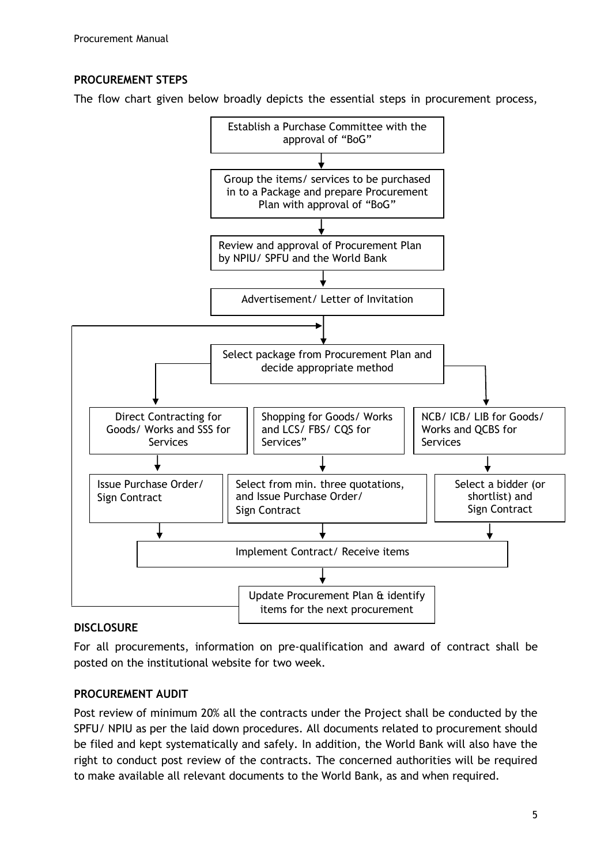## **PROCUREMENT STEPS**

The flow chart given below broadly depicts the essential steps in procurement process,



### **DISCLOSURE**

For all procurements, information on pre-qualification and award of contract shall be posted on the institutional website for two week.

### **PROCUREMENT AUDIT**

Post review of minimum 20% all the contracts under the Project shall be conducted by the SPFU/ NPIU as per the laid down procedures. All documents related to procurement should be filed and kept systematically and safely. In addition, the World Bank will also have the right to conduct post review of the contracts. The concerned authorities will be required to make available all relevant documents to the World Bank, as and when required.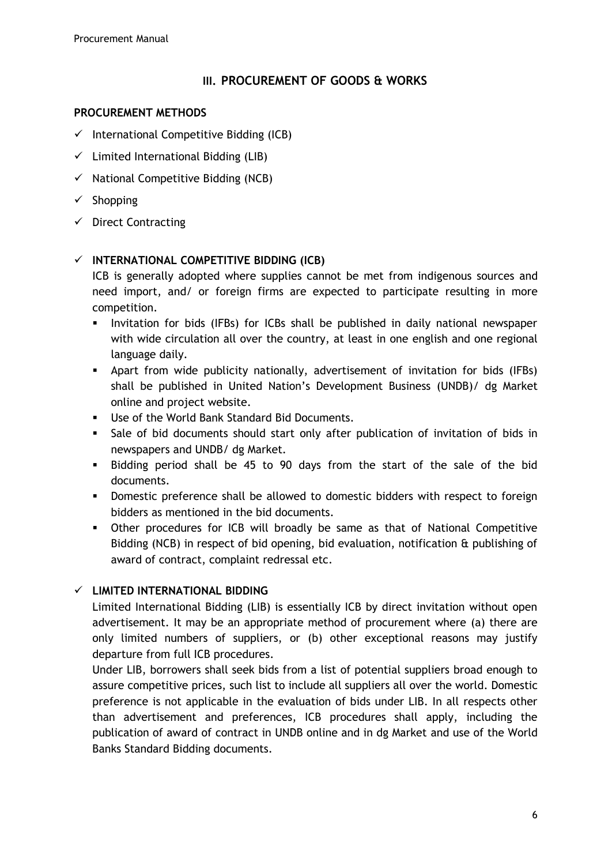### **III. PROCUREMENT OF GOODS & WORKS**

#### **PROCUREMENT METHODS**

- $\checkmark$  International Competitive Bidding (ICB)
- $\checkmark$  Limited International Bidding (LIB)
- $\checkmark$  National Competitive Bidding (NCB)
- $\checkmark$  Shopping
- $\checkmark$  Direct Contracting

## **INTERNATIONAL COMPETITIVE BIDDING (ICB)**

ICB is generally adopted where supplies cannot be met from indigenous sources and need import, and/ or foreign firms are expected to participate resulting in more competition.

- Invitation for bids (IFBs) for ICBs shall be published in daily national newspaper with wide circulation all over the country, at least in one english and one regional language daily.
- Apart from wide publicity nationally, advertisement of invitation for bids (IFBs) shall be published in United Nation's Development Business (UNDB)/ dg Market online and project website.
- Use of the World Bank Standard Bid Documents.
- Sale of bid documents should start only after publication of invitation of bids in newspapers and UNDB/ dg Market.
- Bidding period shall be 45 to 90 days from the start of the sale of the bid documents.
- **•** Domestic preference shall be allowed to domestic bidders with respect to foreign bidders as mentioned in the bid documents.
- Other procedures for ICB will broadly be same as that of National Competitive Bidding (NCB) in respect of bid opening, bid evaluation, notification & publishing of award of contract, complaint redressal etc.

## **LIMITED INTERNATIONAL BIDDING**

Limited International Bidding (LIB) is essentially ICB by direct invitation without open advertisement. It may be an appropriate method of procurement where (a) there are only limited numbers of suppliers, or (b) other exceptional reasons may justify departure from full ICB procedures.

Under LIB, borrowers shall seek bids from a list of potential suppliers broad enough to assure competitive prices, such list to include all suppliers all over the world. Domestic preference is not applicable in the evaluation of bids under LIB. In all respects other than advertisement and preferences, ICB procedures shall apply, including the publication of award of contract in UNDB online and in dg Market and use of the World Banks Standard Bidding documents.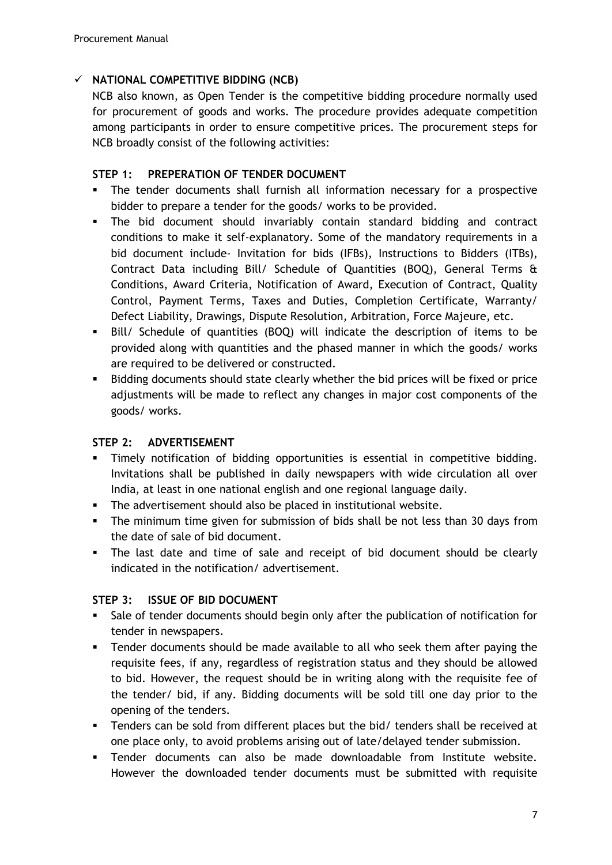## **NATIONAL COMPETITIVE BIDDING (NCB)**

NCB also known, as Open Tender is the competitive bidding procedure normally used for procurement of goods and works. The procedure provides adequate competition among participants in order to ensure competitive prices. The procurement steps for NCB broadly consist of the following activities:

### **STEP 1: PREPERATION OF TENDER DOCUMENT**

- The tender documents shall furnish all information necessary for a prospective bidder to prepare a tender for the goods/ works to be provided.
- The bid document should invariably contain standard bidding and contract conditions to make it self-explanatory. Some of the mandatory requirements in a bid document include- Invitation for bids (IFBs), Instructions to Bidders (ITBs), Contract Data including Bill/ Schedule of Quantities (BOQ), General Terms & Conditions, Award Criteria, Notification of Award, Execution of Contract, Quality Control, Payment Terms, Taxes and Duties, Completion Certificate, Warranty/ Defect Liability, Drawings, Dispute Resolution, Arbitration, Force Majeure, etc.
- Bill/ Schedule of quantities (BOQ) will indicate the description of items to be provided along with quantities and the phased manner in which the goods/ works are required to be delivered or constructed.
- Bidding documents should state clearly whether the bid prices will be fixed or price adjustments will be made to reflect any changes in major cost components of the goods/ works.

### **STEP 2: ADVERTISEMENT**

- Timely notification of bidding opportunities is essential in competitive bidding. Invitations shall be published in daily newspapers with wide circulation all over India, at least in one national english and one regional language daily.
- The advertisement should also be placed in institutional website.
- The minimum time given for submission of bids shall be not less than 30 days from the date of sale of bid document.
- The last date and time of sale and receipt of bid document should be clearly indicated in the notification/ advertisement.

### **STEP 3: ISSUE OF BID DOCUMENT**

- Sale of tender documents should begin only after the publication of notification for tender in newspapers.
- Tender documents should be made available to all who seek them after paying the requisite fees, if any, regardless of registration status and they should be allowed to bid. However, the request should be in writing along with the requisite fee of the tender/ bid, if any. Bidding documents will be sold till one day prior to the opening of the tenders.
- Tenders can be sold from different places but the bid/ tenders shall be received at one place only, to avoid problems arising out of late/delayed tender submission.
- Tender documents can also be made downloadable from Institute website. However the downloaded tender documents must be submitted with requisite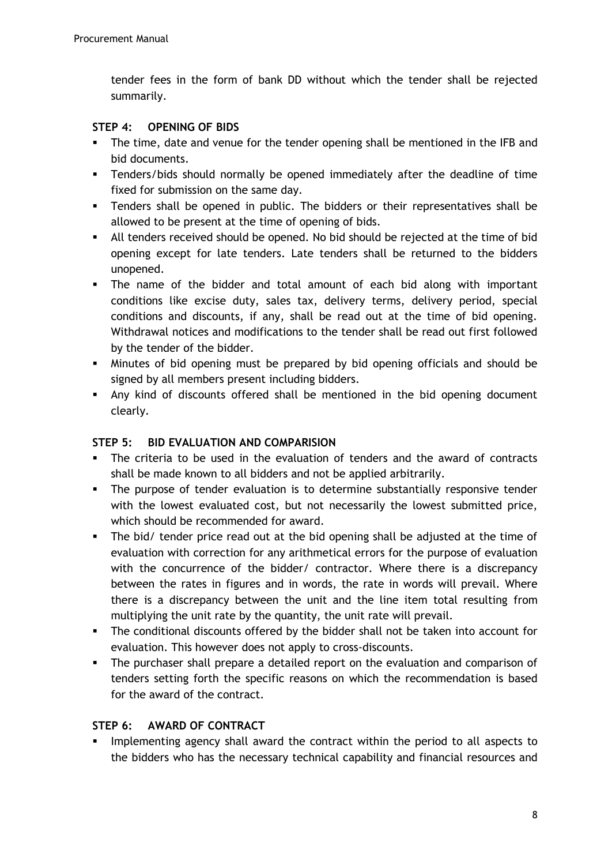tender fees in the form of bank DD without which the tender shall be rejected summarily.

## **STEP 4: OPENING OF BIDS**

- The time, date and venue for the tender opening shall be mentioned in the IFB and bid documents.
- Tenders/bids should normally be opened immediately after the deadline of time fixed for submission on the same day.
- Tenders shall be opened in public. The bidders or their representatives shall be allowed to be present at the time of opening of bids.
- All tenders received should be opened. No bid should be rejected at the time of bid opening except for late tenders. Late tenders shall be returned to the bidders unopened.
- The name of the bidder and total amount of each bid along with important conditions like excise duty, sales tax, delivery terms, delivery period, special conditions and discounts, if any, shall be read out at the time of bid opening. Withdrawal notices and modifications to the tender shall be read out first followed by the tender of the bidder.
- Minutes of bid opening must be prepared by bid opening officials and should be signed by all members present including bidders.
- Any kind of discounts offered shall be mentioned in the bid opening document clearly.

## **STEP 5: BID EVALUATION AND COMPARISION**

- The criteria to be used in the evaluation of tenders and the award of contracts shall be made known to all bidders and not be applied arbitrarily.
- The purpose of tender evaluation is to determine substantially responsive tender with the lowest evaluated cost, but not necessarily the lowest submitted price, which should be recommended for award.
- The bid/ tender price read out at the bid opening shall be adjusted at the time of evaluation with correction for any arithmetical errors for the purpose of evaluation with the concurrence of the bidder/ contractor. Where there is a discrepancy between the rates in figures and in words, the rate in words will prevail. Where there is a discrepancy between the unit and the line item total resulting from multiplying the unit rate by the quantity, the unit rate will prevail.
- The conditional discounts offered by the bidder shall not be taken into account for evaluation. This however does not apply to cross-discounts.
- The purchaser shall prepare a detailed report on the evaluation and comparison of tenders setting forth the specific reasons on which the recommendation is based for the award of the contract.

## **STEP 6: AWARD OF CONTRACT**

 Implementing agency shall award the contract within the period to all aspects to the bidders who has the necessary technical capability and financial resources and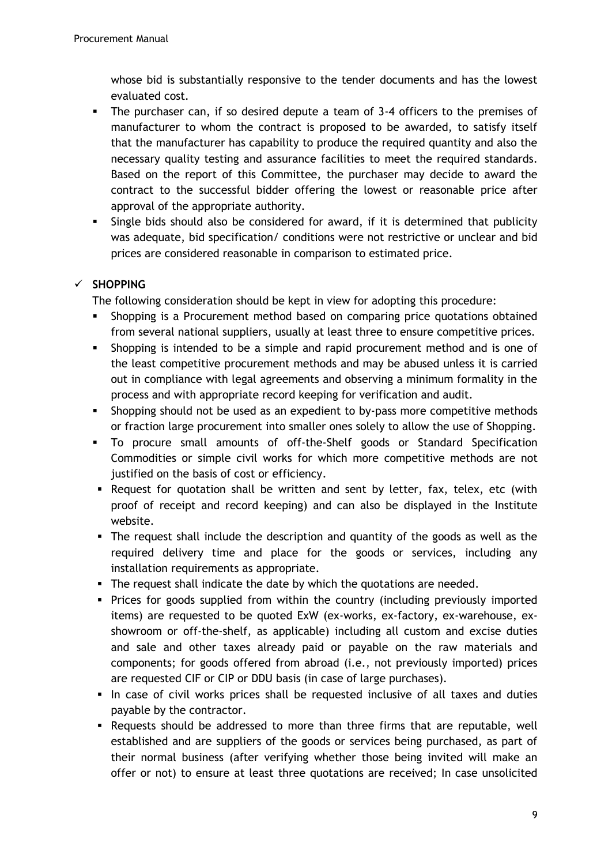whose bid is substantially responsive to the tender documents and has the lowest evaluated cost.

- The purchaser can, if so desired depute a team of 3-4 officers to the premises of manufacturer to whom the contract is proposed to be awarded, to satisfy itself that the manufacturer has capability to produce the required quantity and also the necessary quality testing and assurance facilities to meet the required standards. Based on the report of this Committee, the purchaser may decide to award the contract to the successful bidder offering the lowest or reasonable price after approval of the appropriate authority.
- Single bids should also be considered for award, if it is determined that publicity was adequate, bid specification/ conditions were not restrictive or unclear and bid prices are considered reasonable in comparison to estimated price.

## **SHOPPING**

The following consideration should be kept in view for adopting this procedure:

- Shopping is a Procurement method based on comparing price quotations obtained from several national suppliers, usually at least three to ensure competitive prices.
- Shopping is intended to be a simple and rapid procurement method and is one of the least competitive procurement methods and may be abused unless it is carried out in compliance with legal agreements and observing a minimum formality in the process and with appropriate record keeping for verification and audit.
- **Shopping should not be used as an expedient to by-pass more competitive methods** or fraction large procurement into smaller ones solely to allow the use of Shopping.
- To procure small amounts of off-the-Shelf goods or Standard Specification Commodities or simple civil works for which more competitive methods are not justified on the basis of cost or efficiency.
- Request for quotation shall be written and sent by letter, fax, telex, etc (with proof of receipt and record keeping) and can also be displayed in the Institute website.
- The request shall include the description and quantity of the goods as well as the required delivery time and place for the goods or services, including any installation requirements as appropriate.
- The request shall indicate the date by which the quotations are needed.
- Prices for goods supplied from within the country (including previously imported items) are requested to be quoted ExW (ex-works, ex-factory, ex-warehouse, exshowroom or off-the-shelf, as applicable) including all custom and excise duties and sale and other taxes already paid or payable on the raw materials and components; for goods offered from abroad (i.e., not previously imported) prices are requested CIF or CIP or DDU basis (in case of large purchases).
- In case of civil works prices shall be requested inclusive of all taxes and duties payable by the contractor.
- Requests should be addressed to more than three firms that are reputable, well established and are suppliers of the goods or services being purchased, as part of their normal business (after verifying whether those being invited will make an offer or not) to ensure at least three quotations are received; In case unsolicited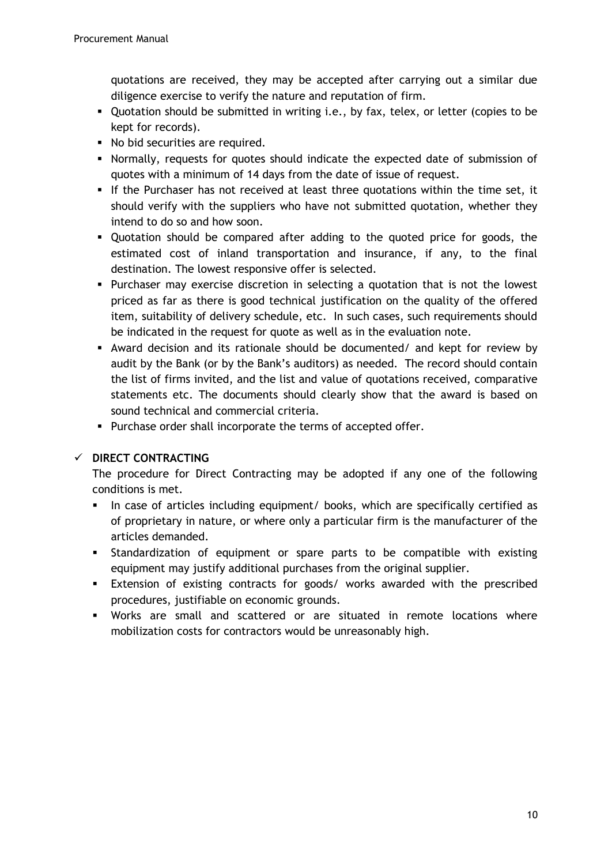quotations are received, they may be accepted after carrying out a similar due diligence exercise to verify the nature and reputation of firm.

- Quotation should be submitted in writing i.e., by fax, telex, or letter (copies to be kept for records).
- No bid securities are required.
- Normally, requests for quotes should indicate the expected date of submission of quotes with a minimum of 14 days from the date of issue of request.
- If the Purchaser has not received at least three quotations within the time set, it should verify with the suppliers who have not submitted quotation, whether they intend to do so and how soon.
- Quotation should be compared after adding to the quoted price for goods, the estimated cost of inland transportation and insurance, if any, to the final destination. The lowest responsive offer is selected.
- Purchaser may exercise discretion in selecting a quotation that is not the lowest priced as far as there is good technical justification on the quality of the offered item, suitability of delivery schedule, etc. In such cases, such requirements should be indicated in the request for quote as well as in the evaluation note.
- Award decision and its rationale should be documented/ and kept for review by audit by the Bank (or by the Bank's auditors) as needed. The record should contain the list of firms invited, and the list and value of quotations received, comparative statements etc. The documents should clearly show that the award is based on sound technical and commercial criteria.
- **Purchase order shall incorporate the terms of accepted offer.**

## **DIRECT CONTRACTING**

The procedure for Direct Contracting may be adopted if any one of the following conditions is met.

- In case of articles including equipment/ books, which are specifically certified as of proprietary in nature, or where only a particular firm is the manufacturer of the articles demanded.
- Standardization of equipment or spare parts to be compatible with existing equipment may justify additional purchases from the original supplier.
- Extension of existing contracts for goods/ works awarded with the prescribed procedures, justifiable on economic grounds.
- Works are small and scattered or are situated in remote locations where mobilization costs for contractors would be unreasonably high.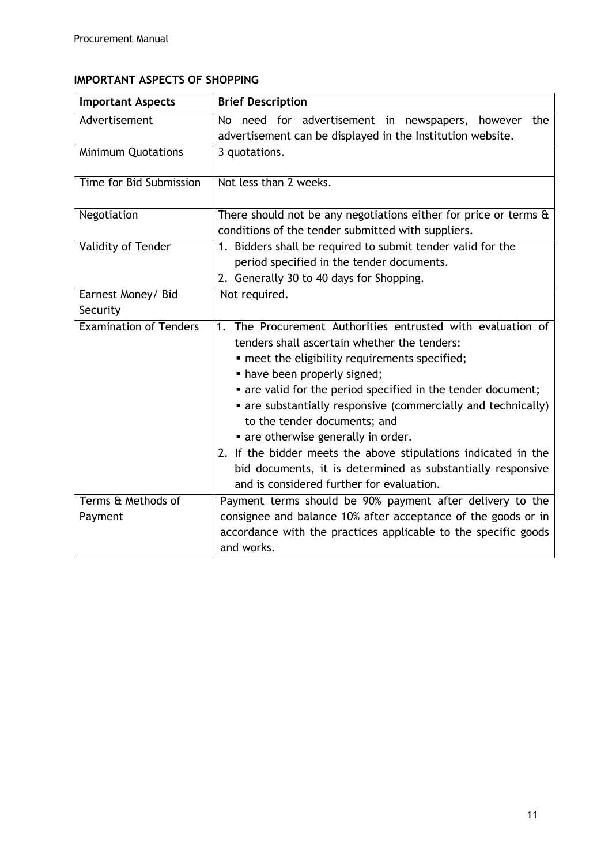# **IMPORTANT ASPECTS OF SHOPPING**

| <b>Important Aspects</b>      | <b>Brief Description</b>                                                                      |
|-------------------------------|-----------------------------------------------------------------------------------------------|
| Advertisement                 | No need for advertisement in newspapers,<br>however the                                       |
|                               | advertisement can be displayed in the Institution website.                                    |
| <b>Minimum Quotations</b>     | 3 quotations.                                                                                 |
| Time for Bid Submission       | Not less than 2 weeks.                                                                        |
| Negotiation                   | There should not be any negotiations either for price or terms &                              |
|                               | conditions of the tender submitted with suppliers.                                            |
| Validity of Tender            | 1. Bidders shall be required to submit tender valid for the                                   |
|                               | period specified in the tender documents.                                                     |
|                               | 2. Generally 30 to 40 days for Shopping.                                                      |
| Earnest Money/ Bid            | Not required.                                                                                 |
| Security                      |                                                                                               |
| <b>Examination of Tenders</b> | The Procurement Authorities entrusted with evaluation of<br>1 <sub>1</sub>                    |
|                               | tenders shall ascertain whether the tenders:                                                  |
|                               | • meet the eligibility requirements specified;                                                |
|                               | • have been properly signed;                                                                  |
|                               | • are valid for the period specified in the tender document;                                  |
|                               | • are substantially responsive (commercially and technically)<br>to the tender documents; and |
|                               | • are otherwise generally in order.                                                           |
|                               | 2. If the bidder meets the above stipulations indicated in the                                |
|                               | bid documents, it is determined as substantially responsive                                   |
|                               | and is considered further for evaluation.                                                     |
| Terms & Methods of            | Payment terms should be 90% payment after delivery to the                                     |
| Payment                       | consignee and balance 10% after acceptance of the goods or in                                 |
|                               | accordance with the practices applicable to the specific goods                                |
|                               | and works.                                                                                    |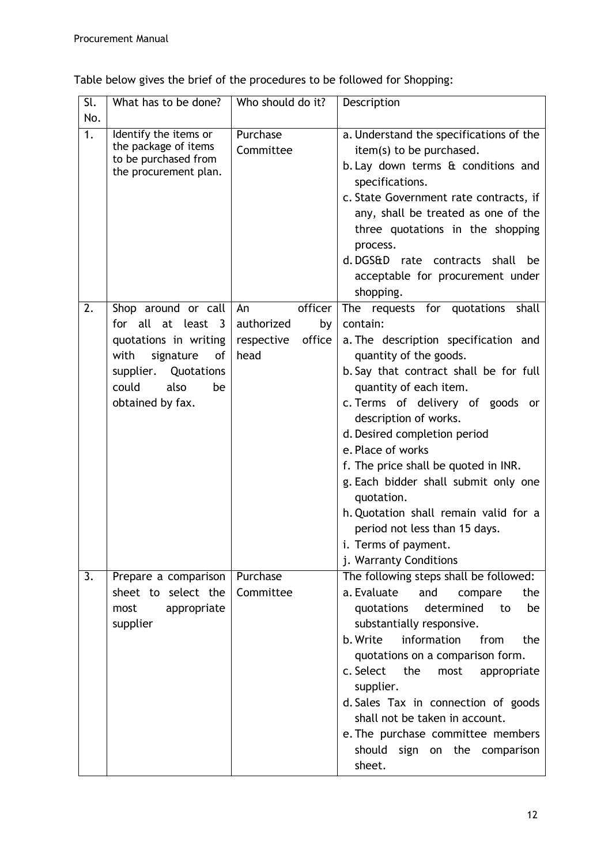Table below gives the brief of the procedures to be followed for Shopping:

| Sl.<br>No.       | What has to be done?                                                                                                                                                | Who should do it?                                                 | Description                                                                                                                                                                                                                                                                                                                                                                                                                                                                                                                            |
|------------------|---------------------------------------------------------------------------------------------------------------------------------------------------------------------|-------------------------------------------------------------------|----------------------------------------------------------------------------------------------------------------------------------------------------------------------------------------------------------------------------------------------------------------------------------------------------------------------------------------------------------------------------------------------------------------------------------------------------------------------------------------------------------------------------------------|
| $\overline{1}$ . | Identify the items or<br>the package of items<br>to be purchased from<br>the procurement plan.                                                                      | Purchase<br>Committee                                             | a. Understand the specifications of the<br>item(s) to be purchased.<br>b. Lay down terms & conditions and<br>specifications.<br>c. State Government rate contracts, if<br>any, shall be treated as one of the<br>three quotations in the shopping<br>process.<br>d.DGS&D rate contracts shall<br>be<br>acceptable for procurement under<br>shopping.                                                                                                                                                                                   |
| 2.               | Shop around or call<br>for all at least 3<br>quotations in writing<br>signature<br>with<br>of<br>supplier.<br>Quotations<br>could<br>also<br>be<br>obtained by fax. | officer<br>An<br>authorized<br>by<br>office<br>respective<br>head | The requests for quotations shall<br>contain:<br>a. The description specification and<br>quantity of the goods.<br>b. Say that contract shall be for full<br>quantity of each item.<br>c. Terms of delivery of goods or<br>description of works.<br>d. Desired completion period<br>e. Place of works<br>f. The price shall be quoted in INR.<br>g. Each bidder shall submit only one<br>quotation.<br>h. Quotation shall remain valid for a<br>period not less than 15 days.<br><i>i.</i> Terms of payment.<br>j. Warranty Conditions |
| 3.               | Prepare a comparison<br>sheet to select the<br>most<br>appropriate<br>supplier                                                                                      | Purchase<br>Committee                                             | The following steps shall be followed:<br>a. Evaluate<br>and<br>the<br>compare<br>determined<br>quotations<br>be<br>to<br>substantially responsive.<br>information<br>b. Write<br>from<br>the<br>quotations on a comparison form.<br>c. Select<br>the<br>most<br>appropriate<br>supplier.<br>d. Sales Tax in connection of goods<br>shall not be taken in account.<br>e. The purchase committee members<br>should sign on the comparison<br>sheet.                                                                                     |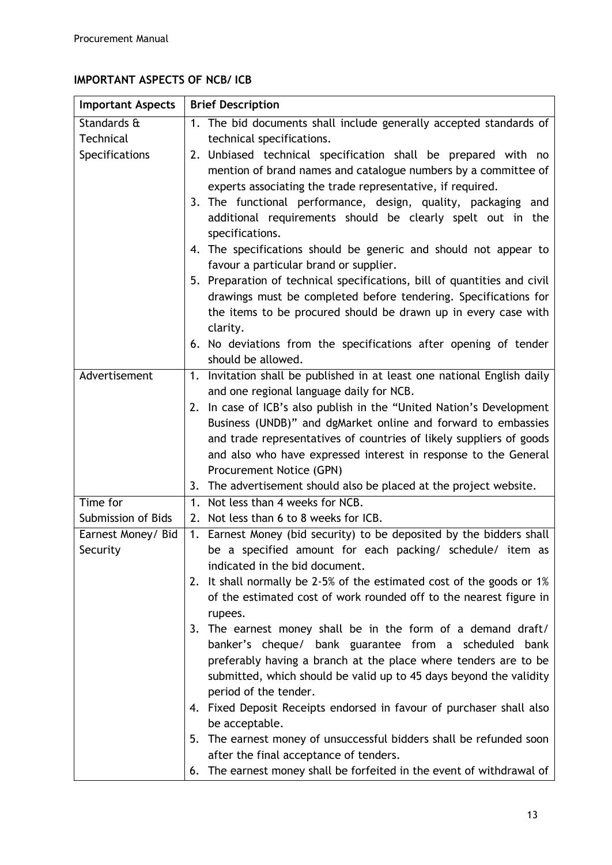# **IMPORTANT ASPECTS OF NCB/ ICB**

| <b>Important Aspects</b>       | <b>Brief Description</b>                                                                                                                                                                                                                                                                                                                                                                                                                                                                                                                                                                                                                                                                                                                                       |  |  |
|--------------------------------|----------------------------------------------------------------------------------------------------------------------------------------------------------------------------------------------------------------------------------------------------------------------------------------------------------------------------------------------------------------------------------------------------------------------------------------------------------------------------------------------------------------------------------------------------------------------------------------------------------------------------------------------------------------------------------------------------------------------------------------------------------------|--|--|
| Standards &                    | 1. The bid documents shall include generally accepted standards of                                                                                                                                                                                                                                                                                                                                                                                                                                                                                                                                                                                                                                                                                             |  |  |
| Technical                      | technical specifications.                                                                                                                                                                                                                                                                                                                                                                                                                                                                                                                                                                                                                                                                                                                                      |  |  |
| Specifications                 | 2. Unbiased technical specification shall be prepared with no<br>mention of brand names and catalogue numbers by a committee of<br>experts associating the trade representative, if required.<br>3. The functional performance, design, quality, packaging and<br>additional requirements should be clearly spelt out in the<br>specifications.<br>4. The specifications should be generic and should not appear to<br>favour a particular brand or supplier.<br>5. Preparation of technical specifications, bill of quantities and civil<br>drawings must be completed before tendering. Specifications for<br>the items to be procured should be drawn up in every case with<br>clarity.<br>6. No deviations from the specifications after opening of tender |  |  |
|                                | should be allowed.                                                                                                                                                                                                                                                                                                                                                                                                                                                                                                                                                                                                                                                                                                                                             |  |  |
| Advertisement                  | Invitation shall be published in at least one national English daily<br>1.<br>and one regional language daily for NCB.                                                                                                                                                                                                                                                                                                                                                                                                                                                                                                                                                                                                                                         |  |  |
|                                | 2. In case of ICB's also publish in the "United Nation's Development<br>Business (UNDB)" and dgMarket online and forward to embassies<br>and trade representatives of countries of likely suppliers of goods<br>and also who have expressed interest in response to the General<br>Procurement Notice (GPN)<br>3. The advertisement should also be placed at the project website.                                                                                                                                                                                                                                                                                                                                                                              |  |  |
| Time for                       | 1. Not less than 4 weeks for NCB.                                                                                                                                                                                                                                                                                                                                                                                                                                                                                                                                                                                                                                                                                                                              |  |  |
| Submission of Bids             | 2. Not less than 6 to 8 weeks for ICB.                                                                                                                                                                                                                                                                                                                                                                                                                                                                                                                                                                                                                                                                                                                         |  |  |
| Earnest Money/ Bid<br>Security | Earnest Money (bid security) to be deposited by the bidders shall<br>1.<br>be a specified amount for each packing/ schedule/ item as<br>indicated in the bid document.<br>2. It shall normally be 2-5% of the estimated cost of the goods or 1%<br>of the estimated cost of work rounded off to the nearest figure in<br>rupees.<br>3. The earnest money shall be in the form of a demand draft/<br>banker's cheque/ bank guarantee from a scheduled bank<br>preferably having a branch at the place where tenders are to be<br>submitted, which should be valid up to 45 days beyond the validity                                                                                                                                                             |  |  |
|                                | period of the tender.<br>4. Fixed Deposit Receipts endorsed in favour of purchaser shall also<br>be acceptable.<br>5. The earnest money of unsuccessful bidders shall be refunded soon<br>after the final acceptance of tenders.<br>6. The earnest money shall be forfeited in the event of withdrawal of                                                                                                                                                                                                                                                                                                                                                                                                                                                      |  |  |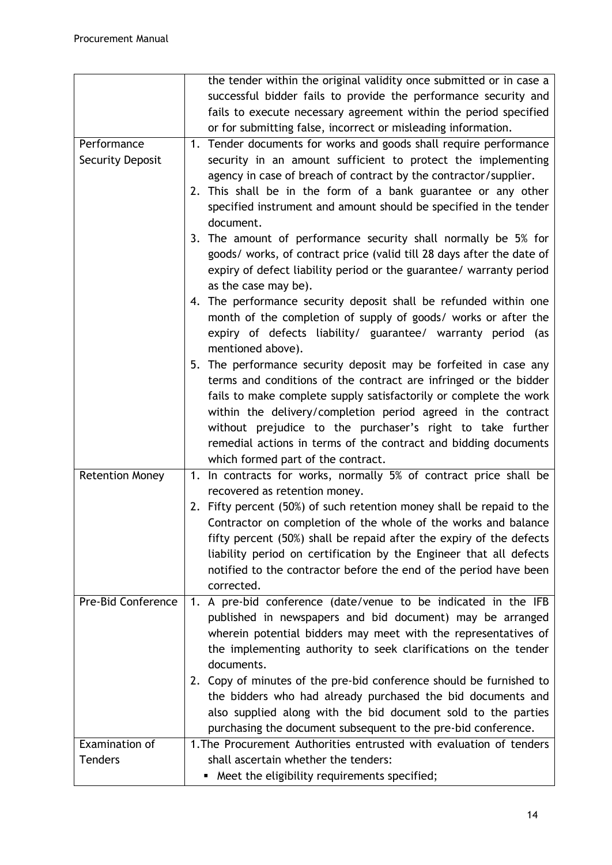|                         | the tender within the original validity once submitted or in case a   |
|-------------------------|-----------------------------------------------------------------------|
|                         | successful bidder fails to provide the performance security and       |
|                         | fails to execute necessary agreement within the period specified      |
|                         | or for submitting false, incorrect or misleading information.         |
| Performance             | 1. Tender documents for works and goods shall require performance     |
| <b>Security Deposit</b> | security in an amount sufficient to protect the implementing          |
|                         | agency in case of breach of contract by the contractor/supplier.      |
|                         | 2. This shall be in the form of a bank guarantee or any other         |
|                         | specified instrument and amount should be specified in the tender     |
|                         | document.                                                             |
|                         | 3. The amount of performance security shall normally be 5% for        |
|                         | goods/ works, of contract price (valid till 28 days after the date of |
|                         | expiry of defect liability period or the guarantee/ warranty period   |
|                         | as the case may be).                                                  |
|                         | 4. The performance security deposit shall be refunded within one      |
|                         | month of the completion of supply of goods/ works or after the        |
|                         | expiry of defects liability/ guarantee/ warranty period (as           |
|                         | mentioned above).                                                     |
|                         | 5. The performance security deposit may be forfeited in case any      |
|                         | terms and conditions of the contract are infringed or the bidder      |
|                         | fails to make complete supply satisfactorily or complete the work     |
|                         | within the delivery/completion period agreed in the contract          |
|                         | without prejudice to the purchaser's right to take further            |
|                         | remedial actions in terms of the contract and bidding documents       |
|                         | which formed part of the contract.                                    |
| <b>Retention Money</b>  | 1. In contracts for works, normally 5% of contract price shall be     |
|                         | recovered as retention money.                                         |
|                         | 2. Fifty percent (50%) of such retention money shall be repaid to the |
|                         | Contractor on completion of the whole of the works and balance        |
|                         | fifty percent (50%) shall be repaid after the expiry of the defects   |
|                         | liability period on certification by the Engineer that all defects    |
|                         | notified to the contractor before the end of the period have been     |
|                         | corrected.                                                            |
| Pre-Bid Conference      | 1. A pre-bid conference (date/venue to be indicated in the IFB        |
|                         | published in newspapers and bid document) may be arranged             |
|                         | wherein potential bidders may meet with the representatives of        |
|                         | the implementing authority to seek clarifications on the tender       |
|                         | documents.                                                            |
|                         | 2. Copy of minutes of the pre-bid conference should be furnished to   |
|                         | the bidders who had already purchased the bid documents and           |
|                         | also supplied along with the bid document sold to the parties         |
|                         | purchasing the document subsequent to the pre-bid conference.         |
| Examination of          | 1. The Procurement Authorities entrusted with evaluation of tenders   |
| <b>Tenders</b>          | shall ascertain whether the tenders:                                  |
|                         | Meet the eligibility requirements specified;<br>٠                     |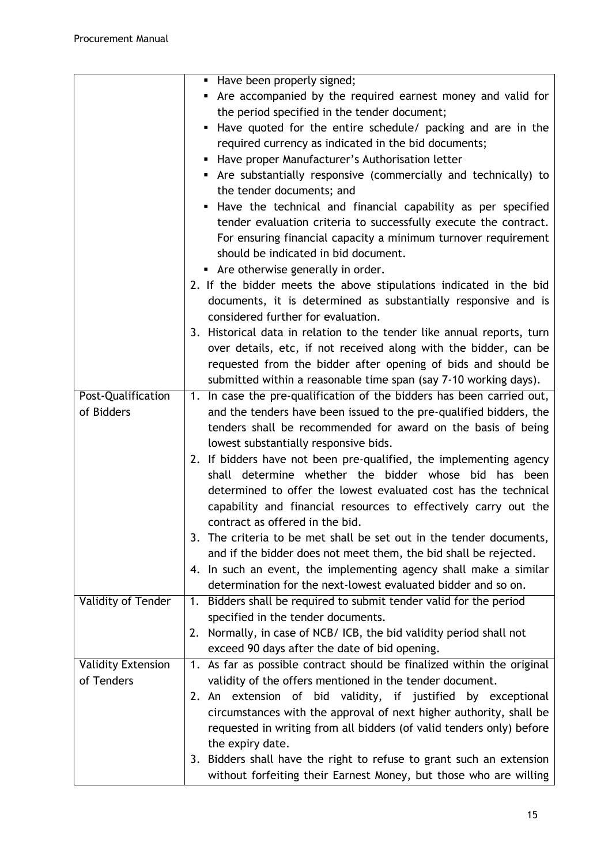|                           | Have been properly signed;                                                |
|---------------------------|---------------------------------------------------------------------------|
|                           | Are accompanied by the required earnest money and valid for               |
|                           | the period specified in the tender document;                              |
|                           | Have quoted for the entire schedule/ packing and are in the               |
|                           | required currency as indicated in the bid documents;                      |
|                           | Have proper Manufacturer's Authorisation letter<br>٠                      |
|                           | • Are substantially responsive (commercially and technically) to          |
|                           | the tender documents; and                                                 |
|                           | Have the technical and financial capability as per specified              |
|                           | tender evaluation criteria to successfully execute the contract.          |
|                           | For ensuring financial capacity a minimum turnover requirement            |
|                           | should be indicated in bid document.                                      |
|                           | Are otherwise generally in order.                                         |
|                           | 2. If the bidder meets the above stipulations indicated in the bid        |
|                           | documents, it is determined as substantially responsive and is            |
|                           | considered further for evaluation.                                        |
|                           | 3. Historical data in relation to the tender like annual reports, turn    |
|                           | over details, etc, if not received along with the bidder, can be          |
|                           | requested from the bidder after opening of bids and should be             |
|                           | submitted within a reasonable time span (say 7-10 working days).          |
| Post-Qualification        | In case the pre-qualification of the bidders has been carried out,<br>1.  |
| of Bidders                | and the tenders have been issued to the pre-qualified bidders, the        |
|                           | tenders shall be recommended for award on the basis of being              |
|                           | lowest substantially responsive bids.                                     |
|                           | 2. If bidders have not been pre-qualified, the implementing agency        |
|                           | shall determine whether the bidder whose bid has been                     |
|                           | determined to offer the lowest evaluated cost has the technical           |
|                           | capability and financial resources to effectively carry out the           |
|                           | contract as offered in the bid.                                           |
|                           | 3. The criteria to be met shall be set out in the tender documents,       |
|                           | and if the bidder does not meet them, the bid shall be rejected.          |
|                           | 4. In such an event, the implementing agency shall make a similar         |
|                           | determination for the next-lowest evaluated bidder and so on.             |
| Validity of Tender        | Bidders shall be required to submit tender valid for the period<br>1.     |
|                           | specified in the tender documents.                                        |
|                           | 2. Normally, in case of NCB/ICB, the bid validity period shall not        |
|                           | exceed 90 days after the date of bid opening.                             |
| <b>Validity Extension</b> | As far as possible contract should be finalized within the original<br>1. |
| of Tenders                | validity of the offers mentioned in the tender document.                  |
|                           | 2. An extension of bid validity, if justified by exceptional              |
|                           | circumstances with the approval of next higher authority, shall be        |
|                           | requested in writing from all bidders (of valid tenders only) before      |
|                           | the expiry date.                                                          |
|                           | 3. Bidders shall have the right to refuse to grant such an extension      |
|                           | without forfeiting their Earnest Money, but those who are willing         |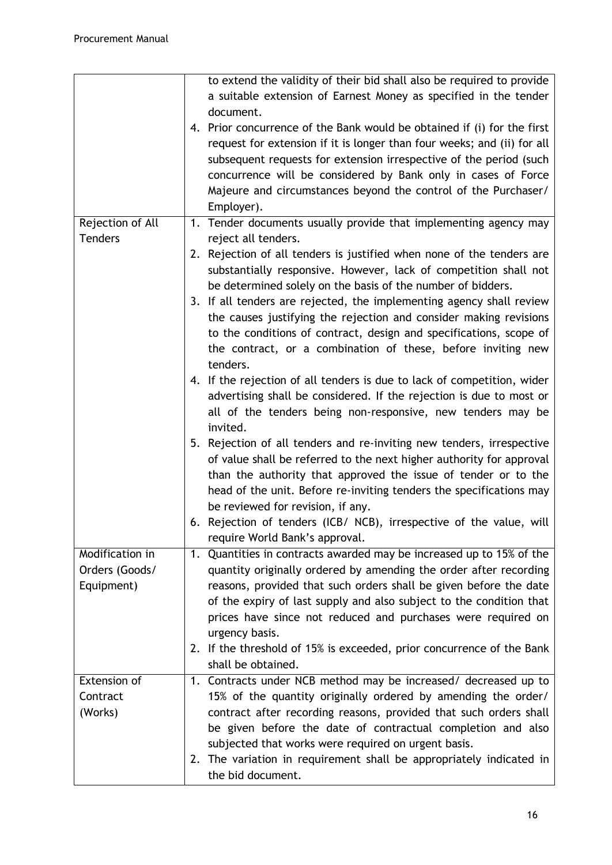|                  | to extend the validity of their bid shall also be required to provide   |
|------------------|-------------------------------------------------------------------------|
|                  | a suitable extension of Earnest Money as specified in the tender        |
|                  | document.                                                               |
|                  | 4. Prior concurrence of the Bank would be obtained if (i) for the first |
|                  | request for extension if it is longer than four weeks; and (ii) for all |
|                  | subsequent requests for extension irrespective of the period (such      |
|                  | concurrence will be considered by Bank only in cases of Force           |
|                  | Majeure and circumstances beyond the control of the Purchaser/          |
|                  | Employer).                                                              |
| Rejection of All | 1. Tender documents usually provide that implementing agency may        |
| <b>Tenders</b>   | reject all tenders.                                                     |
|                  | 2. Rejection of all tenders is justified when none of the tenders are   |
|                  | substantially responsive. However, lack of competition shall not        |
|                  |                                                                         |
|                  | be determined solely on the basis of the number of bidders.             |
|                  | 3. If all tenders are rejected, the implementing agency shall review    |
|                  | the causes justifying the rejection and consider making revisions       |
|                  | to the conditions of contract, design and specifications, scope of      |
|                  | the contract, or a combination of these, before inviting new            |
|                  | tenders.                                                                |
|                  | 4. If the rejection of all tenders is due to lack of competition, wider |
|                  | advertising shall be considered. If the rejection is due to most or     |
|                  | all of the tenders being non-responsive, new tenders may be             |
|                  | invited.                                                                |
|                  | 5. Rejection of all tenders and re-inviting new tenders, irrespective   |
|                  | of value shall be referred to the next higher authority for approval    |
|                  | than the authority that approved the issue of tender or to the          |
|                  | head of the unit. Before re-inviting tenders the specifications may     |
|                  | be reviewed for revision, if any.                                       |
|                  | 6. Rejection of tenders (ICB/ NCB), irrespective of the value, will     |
|                  | require World Bank's approval.                                          |
| Modification in  | 1. Quantities in contracts awarded may be increased up to 15% of the    |
| Orders (Goods/   | quantity originally ordered by amending the order after recording       |
| Equipment)       | reasons, provided that such orders shall be given before the date       |
|                  | of the expiry of last supply and also subject to the condition that     |
|                  | prices have since not reduced and purchases were required on            |
|                  |                                                                         |
|                  | urgency basis.                                                          |
|                  | 2. If the threshold of 15% is exceeded, prior concurrence of the Bank   |
|                  | shall be obtained.                                                      |
| Extension of     | 1. Contracts under NCB method may be increased/ decreased up to         |
| Contract         | 15% of the quantity originally ordered by amending the order/           |
| (Works)          | contract after recording reasons, provided that such orders shall       |
|                  | be given before the date of contractual completion and also             |
|                  | subjected that works were required on urgent basis.                     |
|                  | 2. The variation in requirement shall be appropriately indicated in     |
|                  | the bid document.                                                       |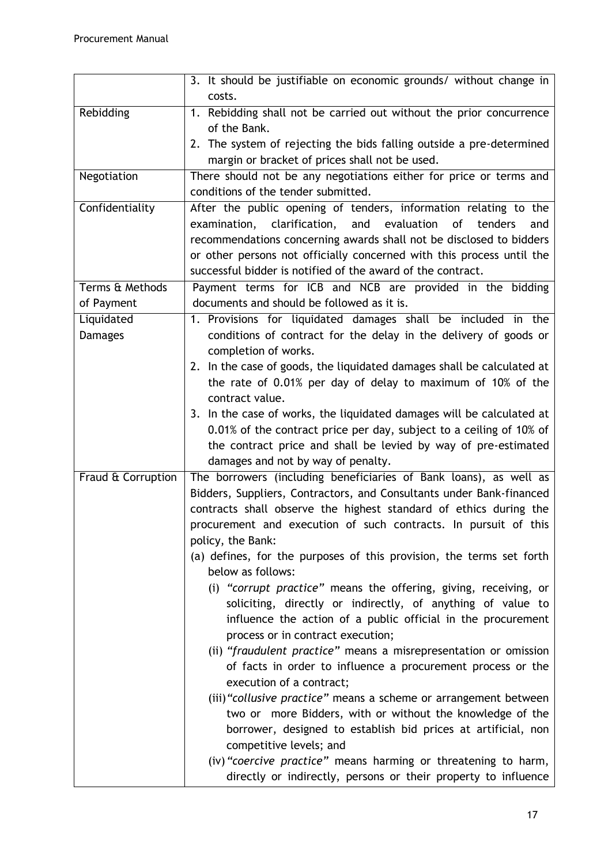|                    | 3. It should be justifiable on economic grounds/ without change in       |
|--------------------|--------------------------------------------------------------------------|
|                    | costs.                                                                   |
| Rebidding          | 1. Rebidding shall not be carried out without the prior concurrence      |
|                    | of the Bank.                                                             |
|                    | 2. The system of rejecting the bids falling outside a pre-determined     |
|                    | margin or bracket of prices shall not be used.                           |
| Negotiation        | There should not be any negotiations either for price or terms and       |
|                    | conditions of the tender submitted.                                      |
| Confidentiality    | After the public opening of tenders, information relating to the         |
|                    | examination, clarification,<br>evaluation<br>and<br>of<br>tenders<br>and |
|                    | recommendations concerning awards shall not be disclosed to bidders      |
|                    | or other persons not officially concerned with this process until the    |
|                    | successful bidder is notified of the award of the contract.              |
| Terms & Methods    | Payment terms for ICB and NCB are provided in the bidding                |
| of Payment         | documents and should be followed as it is.                               |
| Liquidated         | 1. Provisions for liquidated damages shall be included in the            |
| <b>Damages</b>     | conditions of contract for the delay in the delivery of goods or         |
|                    | completion of works.                                                     |
|                    | 2. In the case of goods, the liquidated damages shall be calculated at   |
|                    | the rate of 0.01% per day of delay to maximum of 10% of the              |
|                    | contract value.                                                          |
|                    | 3. In the case of works, the liquidated damages will be calculated at    |
|                    | 0.01% of the contract price per day, subject to a ceiling of 10% of      |
|                    | the contract price and shall be levied by way of pre-estimated           |
|                    | damages and not by way of penalty.                                       |
| Fraud & Corruption | The borrowers (including beneficiaries of Bank loans), as well as        |
|                    | Bidders, Suppliers, Contractors, and Consultants under Bank-financed     |
|                    | contracts shall observe the highest standard of ethics during the        |
|                    | procurement and execution of such contracts. In pursuit of this          |
|                    | policy, the Bank:                                                        |
|                    | (a) defines, for the purposes of this provision, the terms set forth     |
|                    | below as follows:                                                        |
|                    | (i) "corrupt practice" means the offering, giving, receiving, or         |
|                    | soliciting, directly or indirectly, of anything of value to              |
|                    | influence the action of a public official in the procurement             |
|                    | process or in contract execution;                                        |
|                    | (ii) "fraudulent practice" means a misrepresentation or omission         |
|                    | of facts in order to influence a procurement process or the              |
|                    | execution of a contract;                                                 |
|                    | (iii) "collusive practice" means a scheme or arrangement between         |
|                    | two or more Bidders, with or without the knowledge of the                |
|                    | borrower, designed to establish bid prices at artificial, non            |
|                    | competitive levels; and                                                  |
|                    | (iv) "coercive practice" means harming or threatening to harm,           |
|                    | directly or indirectly, persons or their property to influence           |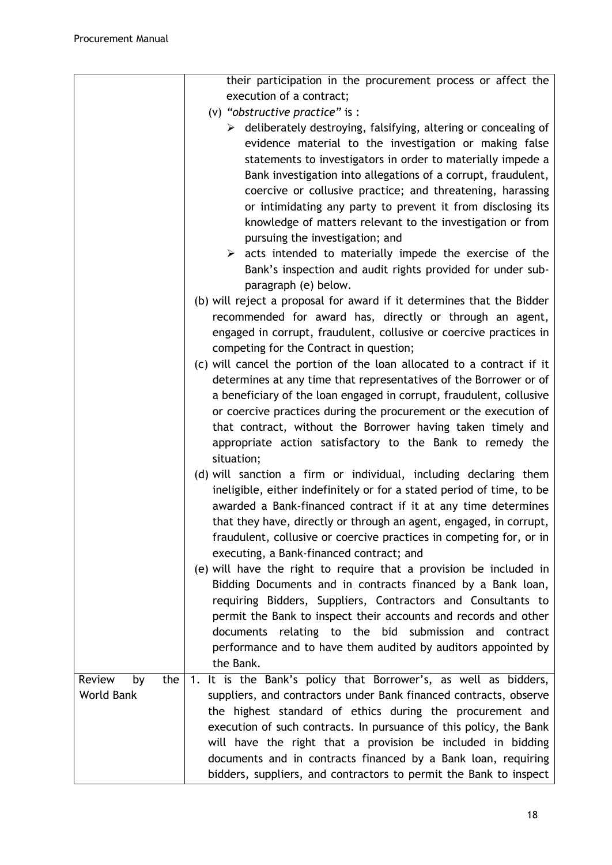|                     | their participation in the procurement process or affect the                       |  |
|---------------------|------------------------------------------------------------------------------------|--|
|                     | execution of a contract;                                                           |  |
|                     | (v) "obstructive practice" is :                                                    |  |
|                     | $\triangleright$ deliberately destroying, falsifying, altering or concealing of    |  |
|                     | evidence material to the investigation or making false                             |  |
|                     | statements to investigators in order to materially impede a                        |  |
|                     | Bank investigation into allegations of a corrupt, fraudulent,                      |  |
|                     | coercive or collusive practice; and threatening, harassing                         |  |
|                     | or intimidating any party to prevent it from disclosing its                        |  |
|                     | knowledge of matters relevant to the investigation or from                         |  |
|                     | pursuing the investigation; and                                                    |  |
|                     | $\triangleright$ acts intended to materially impede the exercise of the            |  |
|                     | Bank's inspection and audit rights provided for under sub-<br>paragraph (e) below. |  |
|                     | (b) will reject a proposal for award if it determines that the Bidder              |  |
|                     | recommended for award has, directly or through an agent,                           |  |
|                     | engaged in corrupt, fraudulent, collusive or coercive practices in                 |  |
|                     | competing for the Contract in question;                                            |  |
|                     | (c) will cancel the portion of the loan allocated to a contract if it              |  |
|                     | determines at any time that representatives of the Borrower or of                  |  |
|                     | a beneficiary of the loan engaged in corrupt, fraudulent, collusive                |  |
|                     | or coercive practices during the procurement or the execution of                   |  |
|                     | that contract, without the Borrower having taken timely and                        |  |
|                     | appropriate action satisfactory to the Bank to remedy the                          |  |
|                     | situation;                                                                         |  |
|                     | (d) will sanction a firm or individual, including declaring them                   |  |
|                     | ineligible, either indefinitely or for a stated period of time, to be              |  |
|                     | awarded a Bank-financed contract if it at any time determines                      |  |
|                     | that they have, directly or through an agent, engaged, in corrupt,                 |  |
|                     | fraudulent, collusive or coercive practices in competing for, or in                |  |
|                     | executing, a Bank-financed contract; and                                           |  |
|                     | (e) will have the right to require that a provision be included in                 |  |
|                     | Bidding Documents and in contracts financed by a Bank loan,                        |  |
|                     | requiring Bidders, Suppliers, Contractors and Consultants to                       |  |
|                     | permit the Bank to inspect their accounts and records and other                    |  |
|                     | documents relating to the bid submission and contract                              |  |
|                     | performance and to have them audited by auditors appointed by                      |  |
|                     | the Bank.                                                                          |  |
| Review<br>the<br>by | 1. It is the Bank's policy that Borrower's, as well as bidders,                    |  |
| <b>World Bank</b>   | suppliers, and contractors under Bank financed contracts, observe                  |  |
|                     | the highest standard of ethics during the procurement and                          |  |
|                     | execution of such contracts. In pursuance of this policy, the Bank                 |  |
|                     | will have the right that a provision be included in bidding                        |  |
|                     | documents and in contracts financed by a Bank loan, requiring                      |  |
|                     | bidders, suppliers, and contractors to permit the Bank to inspect                  |  |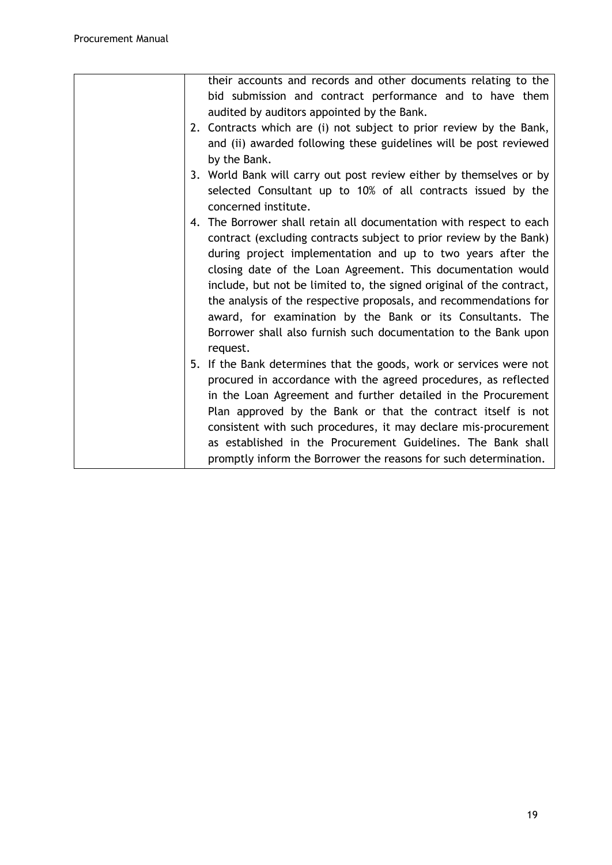| their accounts and records and other documents relating to the       |
|----------------------------------------------------------------------|
| bid submission and contract performance and to have them             |
| audited by auditors appointed by the Bank.                           |
| 2. Contracts which are (i) not subject to prior review by the Bank,  |
| and (ii) awarded following these guidelines will be post reviewed    |
| by the Bank.                                                         |
| 3. World Bank will carry out post review either by themselves or by  |
| selected Consultant up to 10% of all contracts issued by the         |
| concerned institute.                                                 |
| 4. The Borrower shall retain all documentation with respect to each  |
| contract (excluding contracts subject to prior review by the Bank)   |
| during project implementation and up to two years after the          |
| closing date of the Loan Agreement. This documentation would         |
| include, but not be limited to, the signed original of the contract, |
| the analysis of the respective proposals, and recommendations for    |
| award, for examination by the Bank or its Consultants. The           |
| Borrower shall also furnish such documentation to the Bank upon      |
| request.                                                             |
| 5. If the Bank determines that the goods, work or services were not  |
| procured in accordance with the agreed procedures, as reflected      |
|                                                                      |
| in the Loan Agreement and further detailed in the Procurement        |
| Plan approved by the Bank or that the contract itself is not         |
| consistent with such procedures, it may declare mis-procurement      |
| as established in the Procurement Guidelines. The Bank shall         |
| promptly inform the Borrower the reasons for such determination.     |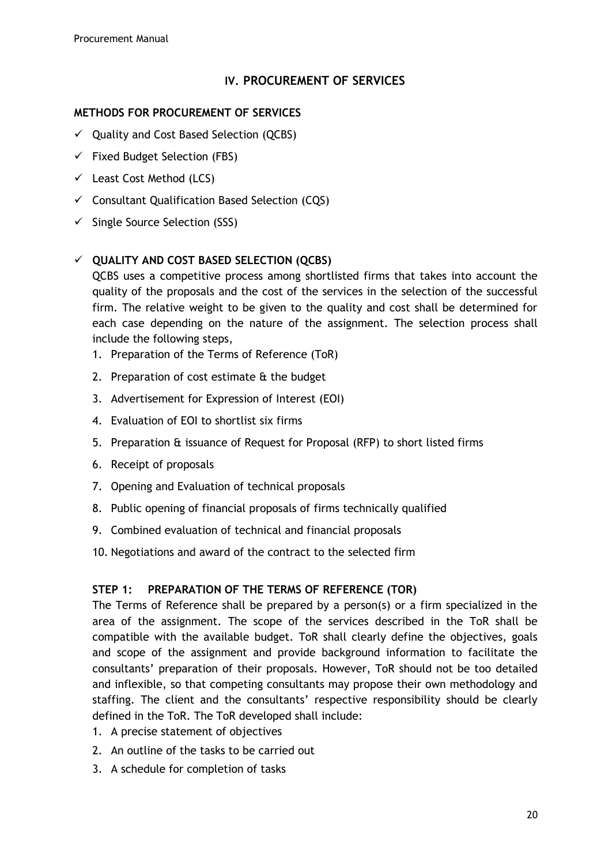### **IV. PROCUREMENT OF SERVICES**

### **METHODS FOR PROCUREMENT OF SERVICES**

- $\checkmark$  Quality and Cost Based Selection (QCBS)
- $\checkmark$  Fixed Budget Selection (FBS)
- $\checkmark$  Least Cost Method (LCS)
- $\checkmark$  Consultant Qualification Based Selection (CQS)
- $\checkmark$  Single Source Selection (SSS)

## **QUALITY AND COST BASED SELECTION (QCBS)**

QCBS uses a competitive process among shortlisted firms that takes into account the quality of the proposals and the cost of the services in the selection of the successful firm. The relative weight to be given to the quality and cost shall be determined for each case depending on the nature of the assignment. The selection process shall include the following steps,

- 1. Preparation of the Terms of Reference (ToR)
- 2. Preparation of cost estimate & the budget
- 3. Advertisement for Expression of Interest (EOI)
- 4. Evaluation of EOI to shortlist six firms
- 5. Preparation & issuance of Request for Proposal (RFP) to short listed firms
- 6. Receipt of proposals
- 7. Opening and Evaluation of technical proposals
- 8. Public opening of financial proposals of firms technically qualified
- 9. Combined evaluation of technical and financial proposals
- 10. Negotiations and award of the contract to the selected firm

### **STEP 1: PREPARATION OF THE TERMS OF REFERENCE (TOR)**

The Terms of Reference shall be prepared by a person(s) or a firm specialized in the area of the assignment. The scope of the services described in the ToR shall be compatible with the available budget. ToR shall clearly define the objectives, goals and scope of the assignment and provide background information to facilitate the consultants' preparation of their proposals. However, ToR should not be too detailed and inflexible, so that competing consultants may propose their own methodology and staffing. The client and the consultants' respective responsibility should be clearly defined in the ToR. The ToR developed shall include:

- 1. A precise statement of objectives
- 2. An outline of the tasks to be carried out
- 3. A schedule for completion of tasks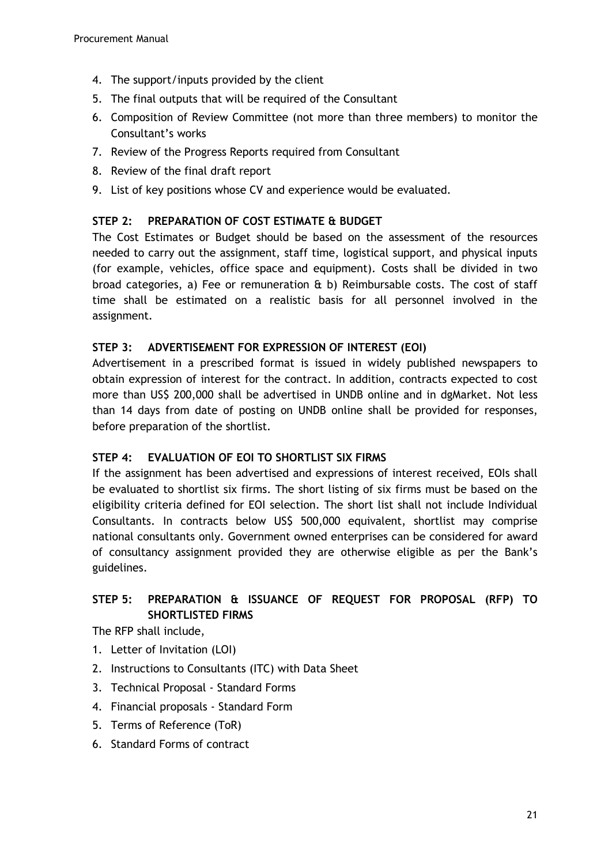- 4. The support/inputs provided by the client
- 5. The final outputs that will be required of the Consultant
- 6. Composition of Review Committee (not more than three members) to monitor the Consultant's works
- 7. Review of the Progress Reports required from Consultant
- 8. Review of the final draft report
- 9. List of key positions whose CV and experience would be evaluated.

## **STEP 2: PREPARATION OF COST ESTIMATE & BUDGET**

The Cost Estimates or Budget should be based on the assessment of the resources needed to carry out the assignment, staff time, logistical support, and physical inputs (for example, vehicles, office space and equipment). Costs shall be divided in two broad categories, a) Fee or remuneration  $f$  b) Reimbursable costs. The cost of staff time shall be estimated on a realistic basis for all personnel involved in the assignment.

## **STEP 3: ADVERTISEMENT FOR EXPRESSION OF INTEREST (EOI)**

Advertisement in a prescribed format is issued in widely published newspapers to obtain expression of interest for the contract. In addition, contracts expected to cost more than US\$ 200,000 shall be advertised in UNDB online and in dgMarket. Not less than 14 days from date of posting on UNDB online shall be provided for responses, before preparation of the shortlist.

### **STEP 4: EVALUATION OF EOI TO SHORTLIST SIX FIRMS**

If the assignment has been advertised and expressions of interest received, EOIs shall be evaluated to shortlist six firms. The short listing of six firms must be based on the eligibility criteria defined for EOI selection. The short list shall not include Individual Consultants. In contracts below US\$ 500,000 equivalent, shortlist may comprise national consultants only. Government owned enterprises can be considered for award of consultancy assignment provided they are otherwise eligible as per the Bank's guidelines.

## **STEP 5: PREPARATION & ISSUANCE OF REQUEST FOR PROPOSAL (RFP) TO SHORTLISTED FIRMS**

The RFP shall include,

- 1. Letter of Invitation (LOI)
- 2. Instructions to Consultants (ITC) with Data Sheet
- 3. Technical Proposal Standard Forms
- 4. Financial proposals Standard Form
- 5. Terms of Reference (ToR)
- 6. Standard Forms of contract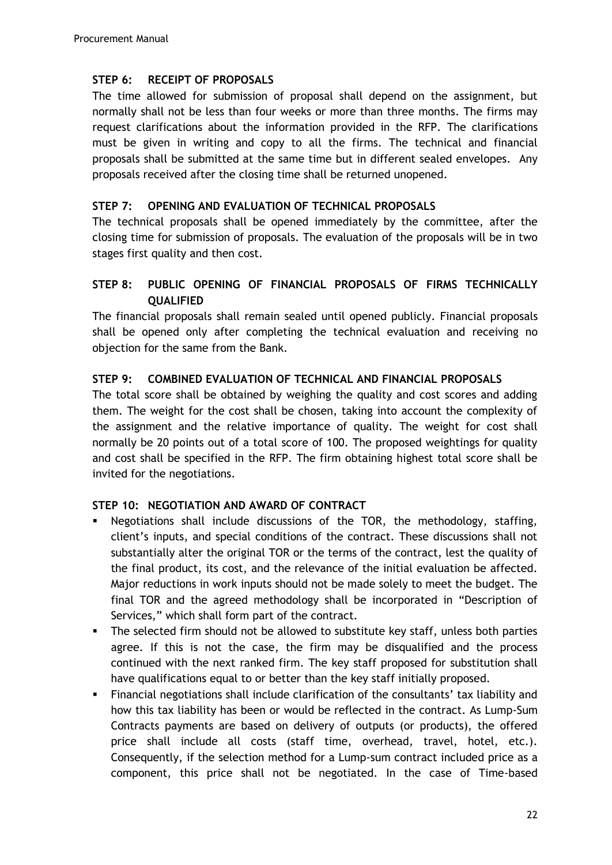### **STEP 6: RECEIPT OF PROPOSALS**

The time allowed for submission of proposal shall depend on the assignment, but normally shall not be less than four weeks or more than three months. The firms may request clarifications about the information provided in the RFP. The clarifications must be given in writing and copy to all the firms. The technical and financial proposals shall be submitted at the same time but in different sealed envelopes. Any proposals received after the closing time shall be returned unopened.

### **STEP 7: OPENING AND EVALUATION OF TECHNICAL PROPOSALS**

The technical proposals shall be opened immediately by the committee, after the closing time for submission of proposals. The evaluation of the proposals will be in two stages first quality and then cost.

## **STEP 8: PUBLIC OPENING OF FINANCIAL PROPOSALS OF FIRMS TECHNICALLY QUALIFIED**

The financial proposals shall remain sealed until opened publicly. Financial proposals shall be opened only after completing the technical evaluation and receiving no objection for the same from the Bank.

### **STEP 9: COMBINED EVALUATION OF TECHNICAL AND FINANCIAL PROPOSALS**

The total score shall be obtained by weighing the quality and cost scores and adding them. The weight for the cost shall be chosen, taking into account the complexity of the assignment and the relative importance of quality. The weight for cost shall normally be 20 points out of a total score of 100. The proposed weightings for quality and cost shall be specified in the RFP. The firm obtaining highest total score shall be invited for the negotiations.

### **STEP 10: NEGOTIATION AND AWARD OF CONTRACT**

- Negotiations shall include discussions of the TOR, the methodology, staffing, client's inputs, and special conditions of the contract. These discussions shall not substantially alter the original TOR or the terms of the contract, lest the quality of the final product, its cost, and the relevance of the initial evaluation be affected. Major reductions in work inputs should not be made solely to meet the budget. The final TOR and the agreed methodology shall be incorporated in "Description of Services," which shall form part of the contract.
- The selected firm should not be allowed to substitute key staff, unless both parties agree. If this is not the case, the firm may be disqualified and the process continued with the next ranked firm. The key staff proposed for substitution shall have qualifications equal to or better than the key staff initially proposed.
- Financial negotiations shall include clarification of the consultants' tax liability and how this tax liability has been or would be reflected in the contract. As Lump-Sum Contracts payments are based on delivery of outputs (or products), the offered price shall include all costs (staff time, overhead, travel, hotel, etc.). Consequently, if the selection method for a Lump-sum contract included price as a component, this price shall not be negotiated. In the case of Time-based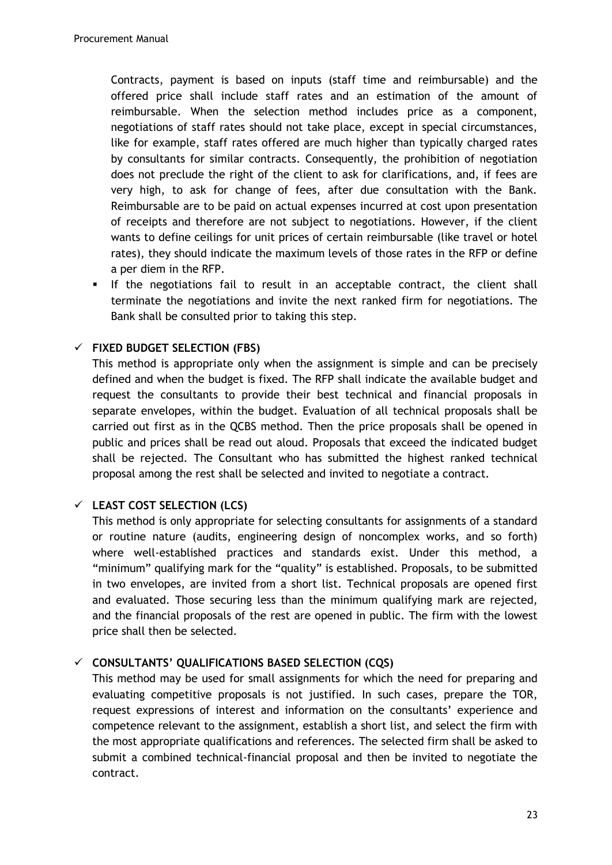Contracts, payment is based on inputs (staff time and reimbursable) and the offered price shall include staff rates and an estimation of the amount of reimbursable. When the selection method includes price as a component, negotiations of staff rates should not take place, except in special circumstances, like for example, staff rates offered are much higher than typically charged rates by consultants for similar contracts. Consequently, the prohibition of negotiation does not preclude the right of the client to ask for clarifications, and, if fees are very high, to ask for change of fees, after due consultation with the Bank. Reimbursable are to be paid on actual expenses incurred at cost upon presentation of receipts and therefore are not subject to negotiations. However, if the client wants to define ceilings for unit prices of certain reimbursable (like travel or hotel rates), they should indicate the maximum levels of those rates in the RFP or define a per diem in the RFP.

 If the negotiations fail to result in an acceptable contract, the client shall terminate the negotiations and invite the next ranked firm for negotiations. The Bank shall be consulted prior to taking this step.

## **FIXED BUDGET SELECTION (FBS)**

This method is appropriate only when the assignment is simple and can be precisely defined and when the budget is fixed. The RFP shall indicate the available budget and request the consultants to provide their best technical and financial proposals in separate envelopes, within the budget. Evaluation of all technical proposals shall be carried out first as in the QCBS method. Then the price proposals shall be opened in public and prices shall be read out aloud. Proposals that exceed the indicated budget shall be rejected. The Consultant who has submitted the highest ranked technical proposal among the rest shall be selected and invited to negotiate a contract.

### **LEAST COST SELECTION (LCS)**

This method is only appropriate for selecting consultants for assignments of a standard or routine nature (audits, engineering design of noncomplex works, and so forth) where well-established practices and standards exist. Under this method, a "minimum" qualifying mark for the "quality" is established. Proposals, to be submitted in two envelopes, are invited from a short list. Technical proposals are opened first and evaluated. Those securing less than the minimum qualifying mark are rejected, and the financial proposals of the rest are opened in public. The firm with the lowest price shall then be selected.

### **CONSULTANTS' QUALIFICATIONS BASED SELECTION (CQS)**

This method may be used for small assignments for which the need for preparing and evaluating competitive proposals is not justified. In such cases, prepare the TOR, request expressions of interest and information on the consultants' experience and competence relevant to the assignment, establish a short list, and select the firm with the most appropriate qualifications and references. The selected firm shall be asked to submit a combined technical-financial proposal and then be invited to negotiate the contract.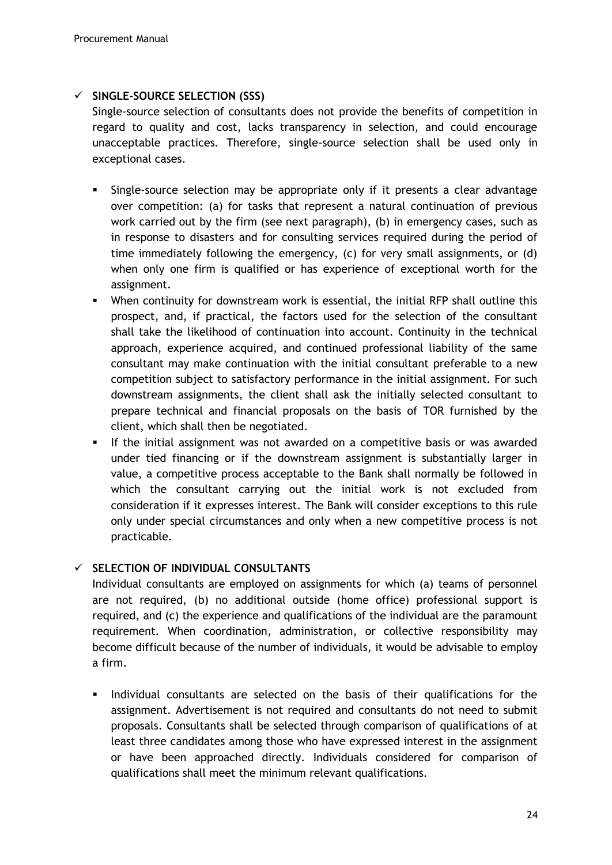### **SINGLE-SOURCE SELECTION (SSS)**

Single-source selection of consultants does not provide the benefits of competition in regard to quality and cost, lacks transparency in selection, and could encourage unacceptable practices. Therefore, single-source selection shall be used only in exceptional cases.

- Single-source selection may be appropriate only if it presents a clear advantage over competition: (a) for tasks that represent a natural continuation of previous work carried out by the firm (see next paragraph), (b) in emergency cases, such as in response to disasters and for consulting services required during the period of time immediately following the emergency, (c) for very small assignments, or (d) when only one firm is qualified or has experience of exceptional worth for the assignment.
- When continuity for downstream work is essential, the initial RFP shall outline this prospect, and, if practical, the factors used for the selection of the consultant shall take the likelihood of continuation into account. Continuity in the technical approach, experience acquired, and continued professional liability of the same consultant may make continuation with the initial consultant preferable to a new competition subject to satisfactory performance in the initial assignment. For such downstream assignments, the client shall ask the initially selected consultant to prepare technical and financial proposals on the basis of TOR furnished by the client, which shall then be negotiated.
- **If the initial assignment was not awarded on a competitive basis or was awarded** under tied financing or if the downstream assignment is substantially larger in value, a competitive process acceptable to the Bank shall normally be followed in which the consultant carrying out the initial work is not excluded from consideration if it expresses interest. The Bank will consider exceptions to this rule only under special circumstances and only when a new competitive process is not practicable.

### **SELECTION OF INDIVIDUAL CONSULTANTS**

Individual consultants are employed on assignments for which (a) teams of personnel are not required, (b) no additional outside (home office) professional support is required, and (c) the experience and qualifications of the individual are the paramount requirement. When coordination, administration, or collective responsibility may become difficult because of the number of individuals, it would be advisable to employ a firm.

Individual consultants are selected on the basis of their qualifications for the assignment. Advertisement is not required and consultants do not need to submit proposals. Consultants shall be selected through comparison of qualifications of at least three candidates among those who have expressed interest in the assignment or have been approached directly. Individuals considered for comparison of qualifications shall meet the minimum relevant qualifications.